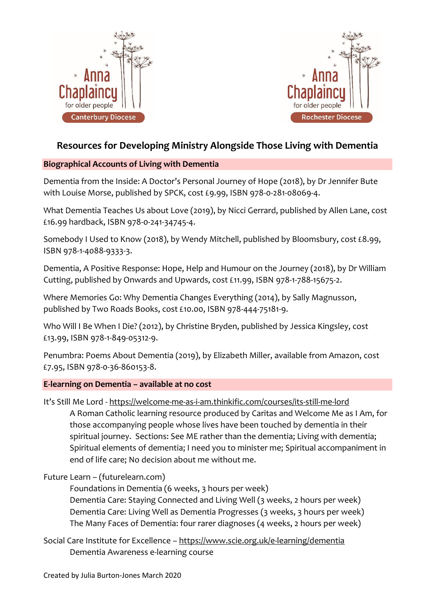



# **Resources for Developing Ministry Alongside Those Living with Dementia**

# **Biographical Accounts of Living with Dementia**

Dementia from the Inside: A Doctor's Personal Journey of Hope (2018), by Dr Jennifer Bute with Louise Morse, published by SPCK, cost £9.99, ISBN 978-0-281-08069-4.

What Dementia Teaches Us about Love (2019), by Nicci Gerrard, published by Allen Lane, cost £16.99 hardback, ISBN 978-0-241-34745-4.

Somebody I Used to Know (2018), by Wendy Mitchell, published by Bloomsbury, cost £8.99, ISBN 978-1-4088-9333-3.

Dementia, A Positive Response: Hope, Help and Humour on the Journey (2018), by Dr William Cutting, published by Onwards and Upwards, cost £11.99, ISBN 978-1-788-15675-2.

Where Memories Go: Why Dementia Changes Everything (2014), by Sally Magnusson, published by Two Roads Books, cost £10.00, ISBN 978-444-75181-9.

Who Will I Be When I Die? (2012), by Christine Bryden, published by Jessica Kingsley, cost £13.99, ISBN 978-1-849-05312-9.

Penumbra: Poems About Dementia (2019), by Elizabeth Miller, available from Amazon, cost £7.95, ISBN 978-0-36-860153-8.

# **E-learning on Dementia – available at no cost**

It's Still Me Lord - <https://welcome-me-as-i-am.thinkific.com/courses/its-still-me-lord>

A Roman Catholic learning resource produced by Caritas and Welcome Me as I Am, for those accompanying people whose lives have been touched by dementia in their spiritual journey. Sections: See ME rather than the dementia; Living with dementia; Spiritual elements of dementia; I need you to minister me; Spiritual accompaniment in end of life care; No decision about me without me.

# Future Learn – (futurelearn.com)

Foundations in Dementia (6 weeks, 3 hours per week) Dementia Care: Staying Connected and Living Well (3 weeks, 2 hours per week) Dementia Care: Living Well as Dementia Progresses (3 weeks, 3 hours per week) The Many Faces of Dementia: four rarer diagnoses (4 weeks, 2 hours per week)

Social Care Institute for Excellence – <https://www.scie.org.uk/e-learning/dementia> Dementia Awareness e-learning course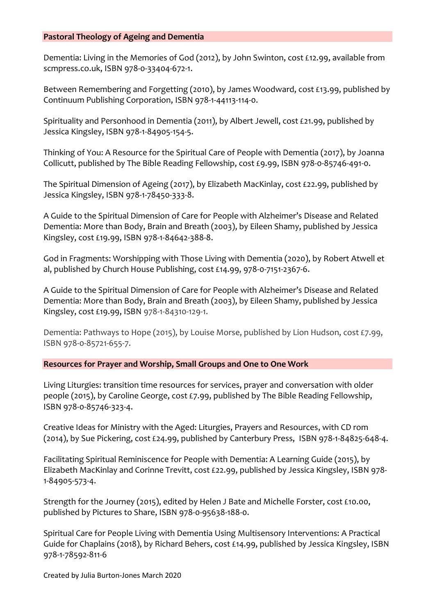### **Pastoral Theology of Ageing and Dementia**

Dementia: Living in the Memories of God (2012), by John Swinton, cost £12.99, available from scmpress.co.uk, ISBN 978-0-33404-672-1.

Between Remembering and Forgetting (2010), by James Woodward, cost £13.99, published by Continuum Publishing Corporation, ISBN 978-1-44113-114-0.

Spirituality and Personhood in Dementia (2011), by Albert Jewell, cost £21.99, published by Jessica Kingsley, ISBN 978-1-84905-154-5.

Thinking of You: A Resource for the Spiritual Care of People with Dementia (2017), by Joanna Collicutt, published by The Bible Reading Fellowship, cost £9.99, ISBN 978-0-85746-491-0.

The Spiritual Dimension of Ageing (2017), by Elizabeth MacKinlay, cost £22.99, published by Jessica Kingsley, ISBN 978-1-78450-333-8.

A Guide to the Spiritual Dimension of Care for People with Alzheimer's Disease and Related Dementia: More than Body, Brain and Breath (2003), by Eileen Shamy, published by Jessica Kingsley, cost £19.99, ISBN 978-1-84642-388-8.

God in Fragments: Worshipping with Those Living with Dementia (2020), by Robert Atwell et al, published by Church House Publishing, cost £14.99, 978-0-7151-2367-6.

A Guide to the Spiritual Dimension of Care for People with Alzheimer's Disease and Related Dementia: More than Body, Brain and Breath (2003), by Eileen Shamy, published by Jessica Kingsley, cost £19.99, ISBN 978-1-84310-129-1.

Dementia: Pathways to Hope (2015), by Louise Morse, published by Lion Hudson, cost £7.99, ISBN 978-0-85721-655-7.

**Resources for Prayer and Worship, Small Groups and One to One Work**

Living Liturgies: transition time resources for services, prayer and conversation with older people (2015), by Caroline George, cost £7.99, published by The Bible Reading Fellowship, ISBN 978-0-85746-323-4.

Creative Ideas for Ministry with the Aged: Liturgies, Prayers and Resources, with CD rom (2014), by Sue Pickering, cost £24.99, published by Canterbury Press, ISBN 978-1-84825-648-4.

Facilitating Spiritual Reminiscence for People with Dementia: A Learning Guide (2015), by Elizabeth MacKinlay and Corinne Trevitt, cost £22.99, published by Jessica Kingsley, ISBN 978- 1-84905-573-4.

Strength for the Journey (2015), edited by Helen J Bate and Michelle Forster, cost £10.00, published by Pictures to Share, ISBN 978-0-95638-188-0.

Spiritual Care for People Living with Dementia Using Multisensory Interventions: A Practical Guide for Chaplains (2018), by Richard Behers, cost £14.99, published by Jessica Kingsley, ISBN 978-1-78592-811-6

Created by Julia Burton-Jones March 2020